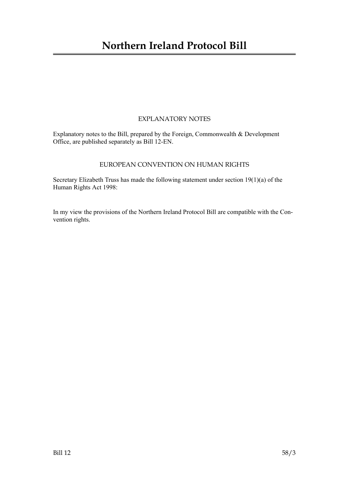# **Northern Ireland Protocol Bill**

## EXPLANATORY NOTES

Explanatory notes to the Bill, prepared by the Foreign, Commonwealth & Development Office, are published separately as Bill 12-EN.

## EUROPEAN CONVENTION ON HUMAN RIGHTS

Secretary Elizabeth Truss has made the following statement under section 19(1)(a) of the Human Rights Act 1998:

In my view the provisions of the Northern Ireland Protocol Bill are compatible with the Convention rights.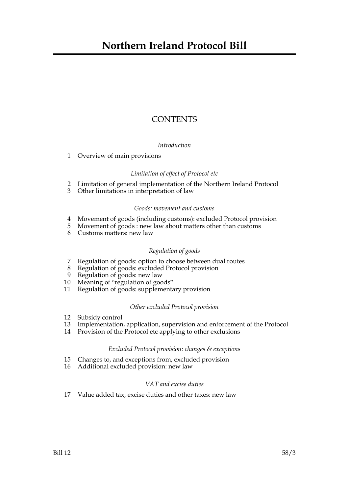## **CONTENTS**

## *Introduction*

1 Overview of main provisions

## *Limitation of effect of Protocol etc*

- 2 Limitation of general implementation of the Northern Ireland Protocol
- 3 Other limitations in interpretation of law

## *Goods: movement and customs*

- 4 Movement of goods (including customs): excluded Protocol provision
- 5 Movement of goods : new law about matters other than customs
- 6 Customs matters: new law

## *Regulation of goods*

- 7 Regulation of goods: option to choose between dual routes
- 8 Regulation of goods: excluded Protocol provision
- 9 Regulation of goods: new law
- 10 Meaning of "regulation of goods"
- 11 Regulation of goods: supplementary provision

## *Other excluded Protocol provision*

- 12 Subsidy control
- 13 Implementation, application, supervision and enforcement of the Protocol
- 14 Provision of the Protocol etc applying to other exclusions

## *Excluded Protocol provision: changes & exceptions*

- 15 Changes to, and exceptions from, excluded provision
- 16 Additional excluded provision: new law

## *VAT and excise duties*

17 Value added tax, excise duties and other taxes: new law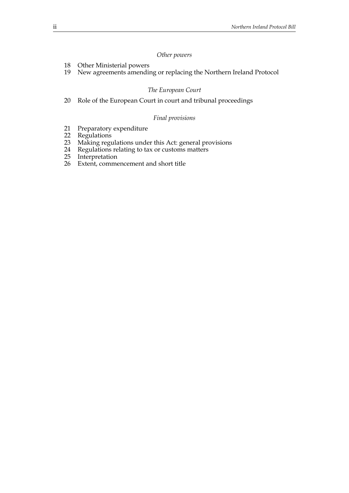## *Other powers*

- 18 Other Ministerial powers
- 19 New agreements amending or replacing the Northern Ireland Protocol

#### *The European Court*

20 Role of the European Court in court and tribunal proceedings

#### *Final provisions*

- 21 Preparatory expenditure<br>22 Regulations
- 22 Regulations<br>23 Making regu
- Making regulations under this Act: general provisions
- 24 Regulations relating to tax or customs matters
- 25 Interpretation
- 26 Extent, commencement and short title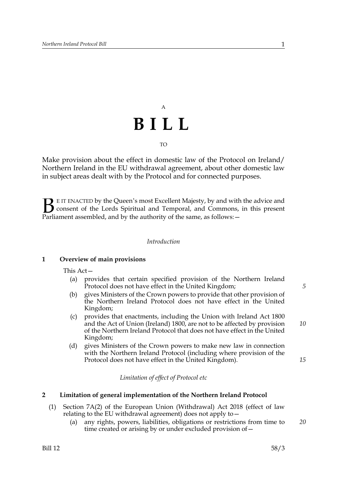# A **BILL** TO

Make provision about the effect in domestic law of the Protocol on Ireland/ Northern Ireland in the EU withdrawal agreement, about other domestic law in subject areas dealt with by the Protocol and for connected purposes.

E IT ENACTED by the Queen's most Excellent Majesty, by and with the advice and consent of the Lords Spiritual and Temporal, and Commons, in this present **B** E IT ENACTED by the Queen's most Excellent Majesty, by and with consent of the Lords Spiritual and Temporal, and Commons, Parliament assembled, and by the authority of the same, as follows:  $-$ 

#### *Introduction*

#### **1 Overview of main provisions**

This Act—

- (a) provides that certain specified provision of the Northern Ireland Protocol does not have effect in the United Kingdom;
- (b) gives Ministers of the Crown powers to provide that other provision of the Northern Ireland Protocol does not have effect in the United Kingdom;
- (c) provides that enactments, including the Union with Ireland Act 1800 and the Act of Union (Ireland) 1800, are not to be affected by provision of the Northern Ireland Protocol that does not have effect in the United Kingdom; *10*
- (d) gives Ministers of the Crown powers to make new law in connection with the Northern Ireland Protocol (including where provision of the Protocol does not have effect in the United Kingdom).

*Limitation of effect of Protocol etc*

#### **2 Limitation of general implementation of the Northern Ireland Protocol**

- (1) Section 7A(2) of the European Union (Withdrawal) Act 2018 (effect of law relating to the EU withdrawal agreement) does not apply to—
	- (a) any rights, powers, liabilities, obligations or restrictions from time to time created or arising by or under excluded provision of— *20*

*5*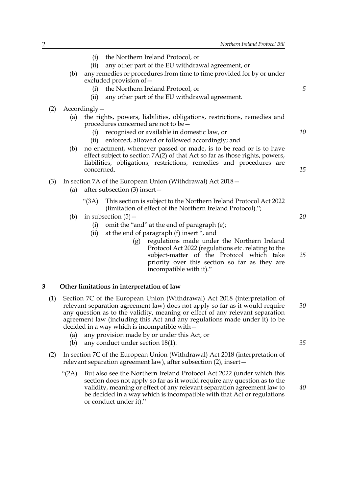|   |     |                                                                                                                                                                                                                                                                                                                                                                           | the Northern Ireland Protocol, or<br>(i)                                                                                                                                                                                                                                                                                         |    |  |  |  |
|---|-----|---------------------------------------------------------------------------------------------------------------------------------------------------------------------------------------------------------------------------------------------------------------------------------------------------------------------------------------------------------------------------|----------------------------------------------------------------------------------------------------------------------------------------------------------------------------------------------------------------------------------------------------------------------------------------------------------------------------------|----|--|--|--|
|   |     |                                                                                                                                                                                                                                                                                                                                                                           | any other part of the EU withdrawal agreement, or<br>(ii)                                                                                                                                                                                                                                                                        |    |  |  |  |
|   |     | (b)                                                                                                                                                                                                                                                                                                                                                                       | any remedies or procedures from time to time provided for by or under<br>excluded provision of -                                                                                                                                                                                                                                 |    |  |  |  |
|   |     |                                                                                                                                                                                                                                                                                                                                                                           | the Northern Ireland Protocol, or<br>(i)                                                                                                                                                                                                                                                                                         | 5  |  |  |  |
|   |     |                                                                                                                                                                                                                                                                                                                                                                           | any other part of the EU withdrawal agreement.<br>(ii)                                                                                                                                                                                                                                                                           |    |  |  |  |
|   | (2) | $Accordingly-$                                                                                                                                                                                                                                                                                                                                                            |                                                                                                                                                                                                                                                                                                                                  |    |  |  |  |
|   |     | (a)                                                                                                                                                                                                                                                                                                                                                                       | the rights, powers, liabilities, obligations, restrictions, remedies and<br>procedures concerned are not to be $-$                                                                                                                                                                                                               |    |  |  |  |
|   |     |                                                                                                                                                                                                                                                                                                                                                                           | recognised or available in domestic law, or<br>(i)                                                                                                                                                                                                                                                                               | 10 |  |  |  |
|   |     |                                                                                                                                                                                                                                                                                                                                                                           | enforced, allowed or followed accordingly; and<br>(ii)                                                                                                                                                                                                                                                                           |    |  |  |  |
|   |     | (b)                                                                                                                                                                                                                                                                                                                                                                       | no enactment, whenever passed or made, is to be read or is to have<br>effect subject to section 7A(2) of that Act so far as those rights, powers,                                                                                                                                                                                |    |  |  |  |
|   |     |                                                                                                                                                                                                                                                                                                                                                                           | liabilities, obligations, restrictions, remedies and procedures are<br>concerned.                                                                                                                                                                                                                                                | 15 |  |  |  |
|   |     |                                                                                                                                                                                                                                                                                                                                                                           |                                                                                                                                                                                                                                                                                                                                  |    |  |  |  |
|   | (3) | (a)                                                                                                                                                                                                                                                                                                                                                                       | In section 7A of the European Union (Withdrawal) Act 2018–<br>after subsection $(3)$ insert –                                                                                                                                                                                                                                    |    |  |  |  |
|   |     |                                                                                                                                                                                                                                                                                                                                                                           | This section is subject to the Northern Ireland Protocol Act 2022<br>"(3A)<br>(limitation of effect of the Northern Ireland Protocol).";                                                                                                                                                                                         |    |  |  |  |
|   |     | (b)                                                                                                                                                                                                                                                                                                                                                                       | in subsection $(5)$ –                                                                                                                                                                                                                                                                                                            | 20 |  |  |  |
|   |     |                                                                                                                                                                                                                                                                                                                                                                           | omit the "and" at the end of paragraph (e);<br>(i)                                                                                                                                                                                                                                                                               |    |  |  |  |
|   |     |                                                                                                                                                                                                                                                                                                                                                                           | at the end of paragraph (f) insert ", and<br>(ii)                                                                                                                                                                                                                                                                                |    |  |  |  |
|   |     |                                                                                                                                                                                                                                                                                                                                                                           | regulations made under the Northern Ireland<br>(g)<br>Protocol Act 2022 (regulations etc. relating to the<br>subject-matter of the Protocol which take<br>priority over this section so far as they are                                                                                                                          | 25 |  |  |  |
|   |     |                                                                                                                                                                                                                                                                                                                                                                           | incompatible with it)."                                                                                                                                                                                                                                                                                                          |    |  |  |  |
| 3 |     |                                                                                                                                                                                                                                                                                                                                                                           | Other limitations in interpretation of law                                                                                                                                                                                                                                                                                       |    |  |  |  |
|   | (1) | Section 7C of the European Union (Withdrawal) Act 2018 (interpretation of<br>relevant separation agreement law) does not apply so far as it would require<br>any question as to the validity, meaning or effect of any relevant separation<br>agreement law (including this Act and any regulations made under it) to be<br>decided in a way which is incompatible with - |                                                                                                                                                                                                                                                                                                                                  | 30 |  |  |  |
|   |     | (a)<br>(b)                                                                                                                                                                                                                                                                                                                                                                | any provision made by or under this Act, or<br>any conduct under section 18(1).                                                                                                                                                                                                                                                  | 35 |  |  |  |
|   | (2) | In section 7C of the European Union (Withdrawal) Act 2018 (interpretation of<br>relevant separation agreement law), after subsection (2), insert-                                                                                                                                                                                                                         |                                                                                                                                                                                                                                                                                                                                  |    |  |  |  |
|   |     | " $(2A)$                                                                                                                                                                                                                                                                                                                                                                  | But also see the Northern Ireland Protocol Act 2022 (under which this<br>section does not apply so far as it would require any question as to the<br>validity, meaning or effect of any relevant separation agreement law to<br>be decided in a way which is incompatible with that Act or regulations<br>or conduct under it)." | 40 |  |  |  |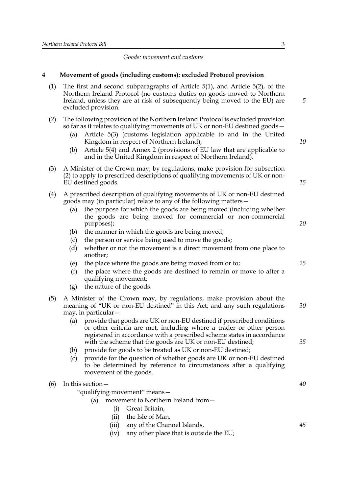## *Goods: movement and customs*

(1) The first and second subparagraphs of Article 5(1), and Article 5(2), of the

## **4 Movement of goods (including customs): excluded Protocol provision**

|            | Northern Ireland Protocol (no customs duties on goods moved to Northern<br>Ireland, unless they are at risk of subsequently being moved to the EU) are<br>excluded provision.                                                                                                                                                                                                                                                                                                                                       | 5  |  |
|------------|---------------------------------------------------------------------------------------------------------------------------------------------------------------------------------------------------------------------------------------------------------------------------------------------------------------------------------------------------------------------------------------------------------------------------------------------------------------------------------------------------------------------|----|--|
| (2)<br>(3) | The following provision of the Northern Ireland Protocol is excluded provision<br>so far as it relates to qualifying movements of UK or non-EU destined goods -<br>Article 5(3) (customs legislation applicable to and in the United<br>(a)<br>Kingdom in respect of Northern Ireland);<br>Article 5(4) and Annex 2 (provisions of EU law that are applicable to<br>(b)<br>and in the United Kingdom in respect of Northern Ireland).<br>A Minister of the Crown may, by regulations, make provision for subsection | 10 |  |
|            | (2) to apply to prescribed descriptions of qualifying movements of UK or non-<br>EU destined goods.                                                                                                                                                                                                                                                                                                                                                                                                                 |    |  |
| (4)        | A prescribed description of qualifying movements of UK or non-EU destined<br>goods may (in particular) relate to any of the following matters –<br>the purpose for which the goods are being moved (including whether<br>(a)<br>the goods are being moved for commercial or non-commercial<br>purposes);<br>the manner in which the goods are being moved;<br>(b)<br>the person or service being used to move the goods;<br>(c)<br>whether or not the movement is a direct movement from one place to<br>(d)        | 20 |  |
|            | another;<br>the place where the goods are being moved from or to;<br>(e)<br>the place where the goods are destined to remain or move to after a<br>(f)<br>qualifying movement;<br>the nature of the goods.<br>(g)                                                                                                                                                                                                                                                                                                   | 25 |  |
| (5)        | A Minister of the Crown may, by regulations, make provision about the<br>meaning of "UK or non-EU destined" in this Act; and any such regulations<br>may, in particular –<br>provide that goods are UK or non-EU destined if prescribed conditions<br>(a)<br>or other criteria are met, including where a trader or other person                                                                                                                                                                                    | 30 |  |
|            | registered in accordance with a prescribed scheme states in accordance<br>with the scheme that the goods are UK or non-EU destined;<br>provide for goods to be treated as UK or non-EU destined;<br>(b)<br>provide for the question of whether goods are UK or non-EU destined<br>(c)<br>to be determined by reference to circumstances after a qualifying<br>movement of the goods.                                                                                                                                | 35 |  |
| (6)        | In this section –<br>"qualifying movement" means-<br>movement to Northern Ireland from-<br>(a)<br>Great Britain,<br>(i)                                                                                                                                                                                                                                                                                                                                                                                             | 40 |  |
|            | the Isle of Man,<br>(ii)<br>any of the Channel Islands,<br>(iii)<br>any other place that is outside the EU;<br>(iv)                                                                                                                                                                                                                                                                                                                                                                                                 | 45 |  |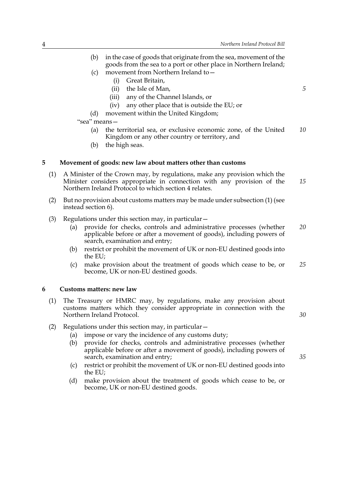- (b) in the case of goods that originate from the sea, movement of the goods from the sea to a port or other place in Northern Ireland; (c) movement from Northern Ireland to— (i) Great Britain, (ii) the Isle of Man, (iii) any of the Channel Islands, or (iv) any other place that is outside the EU; or (d) movement within the United Kingdom; "sea" means— (a) the territorial sea, or exclusive economic zone, of the United Kingdom or any other country or territory, and (b) the high seas. **5 Movement of goods: new law about matters other than customs** (1) A Minister of the Crown may, by regulations, make any provision which the Minister considers appropriate in connection with any provision of the Northern Ireland Protocol to which section 4 relates. (2) But no provision about customs matters may be made under subsection (1) (see instead section 6). (3) Regulations under this section may, in particular— (a) provide for checks, controls and administrative processes (whether applicable before or after a movement of goods), including powers of search, examination and entry; (b) restrict or prohibit the movement of UK or non-EU destined goods into the EU; (c) make provision about the treatment of goods which cease to be, or become, UK or non-EU destined goods. **6 Customs matters: new law** (1) The Treasury or HMRC may, by regulations, make any provision about customs matters which they consider appropriate in connection with the Northern Ireland Protocol. (2) Regulations under this section may, in particular— (a) impose or vary the incidence of any customs duty; (b) provide for checks, controls and administrative processes (whether applicable before or after a movement of goods), including powers of *5 10 15 20 25 30*
	- *35*
	- (c) restrict or prohibit the movement of UK or non-EU destined goods into the EU;
	- (d) make provision about the treatment of goods which cease to be, or become, UK or non-EU destined goods.

search, examination and entry;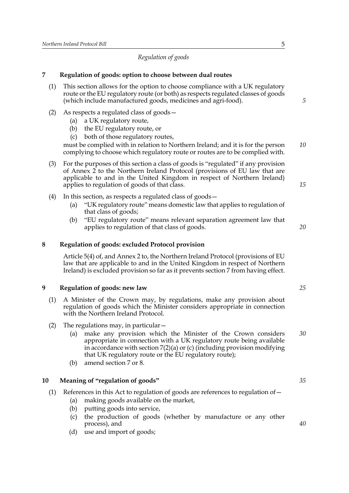## *Regulation of goods*

## **7 Regulation of goods: option to choose between dual routes**

- (1) This section allows for the option to choose compliance with a UK regulatory route or the EU regulatory route (or both) as respects regulated classes of goods (which include manufactured goods, medicines and agri-food).
- (2) As respects a regulated class of goods—
	- (a) a UK regulatory route,
	- (b) the EU regulatory route, or
	- (c) both of those regulatory routes,

must be complied with in relation to Northern Ireland; and it is for the person complying to choose which regulatory route or routes are to be complied with. *10*

- (3) For the purposes of this section a class of goods is "regulated" if any provision of Annex 2 to the Northern Ireland Protocol (provisions of EU law that are applicable to and in the United Kingdom in respect of Northern Ireland) applies to regulation of goods of that class.
- (4) In this section, as respects a regulated class of goods—
	- (a) "UK regulatory route" means domestic law that applies to regulation of that class of goods;
	- (b) "EU regulatory route" means relevant separation agreement law that applies to regulation of that class of goods.

## **8 Regulation of goods: excluded Protocol provision**

Article 5(4) of, and Annex 2 to, the Northern Ireland Protocol (provisions of EU law that are applicable to and in the United Kingdom in respect of Northern Ireland) is excluded provision so far as it prevents section 7 from having effect.

## **9 Regulation of goods: new law**

- (1) A Minister of the Crown may, by regulations, make any provision about regulation of goods which the Minister considers appropriate in connection with the Northern Ireland Protocol.
- (2) The regulations may, in particular  $-$ 
	- (a) make any provision which the Minister of the Crown considers appropriate in connection with a UK regulatory route being available in accordance with section 7(2)(a) or (c) (including provision modifying that UK regulatory route or the EU regulatory route); *30*
	- (b) amend section 7 or 8.

## **10 Meaning of "regulation of goods"**

- (1) References in this Act to regulation of goods are references to regulation of  $-$ 
	- (a) making goods available on the market,
	- (b) putting goods into service,
	- (c) the production of goods (whether by manufacture or any other process), and
	- (d) use and import of goods;

*5*

*15*

*20*

*25*

*35*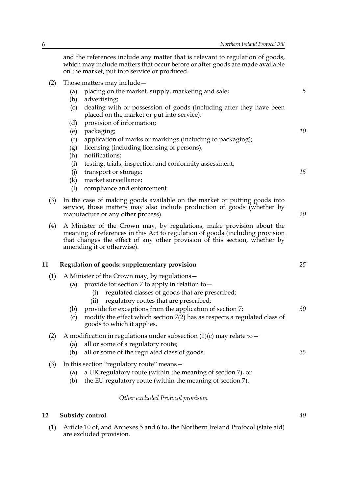and the references include any matter that is relevant to regulation of goods, which may include matters that occur before or after goods are made available on the market, put into service or produced.

- (2) Those matters may include—
	- (a) placing on the market, supply, marketing and sale;
	- (b) advertising;
	- (c) dealing with or possession of goods (including after they have been placed on the market or put into service);
	- (d) provision of information;
	- (e) packaging;
	- (f) application of marks or markings (including to packaging);
	- (g) licensing (including licensing of persons);
	- (h) notifications;
	- (i) testing, trials, inspection and conformity assessment;
	- (j) transport or storage;
	- (k) market surveillance;
	- (l) compliance and enforcement.
- (3) In the case of making goods available on the market or putting goods into service, those matters may also include production of goods (whether by manufacture or any other process).
- (4) A Minister of the Crown may, by regulations, make provision about the meaning of references in this Act to regulation of goods (including provision that changes the effect of any other provision of this section, whether by amending it or otherwise).

#### **11 Regulation of goods: supplementary provision**

- (1) A Minister of the Crown may, by regulations—
	- (a) provide for section 7 to apply in relation to  $-$ 
		- (i) regulated classes of goods that are prescribed;
		- (ii) regulatory routes that are prescribed;
	- (b) provide for exceptions from the application of section 7;
	- (c) modify the effect which section 7(2) has as respects a regulated class of goods to which it applies.

## (2) A modification in regulations under subsection  $(1)(c)$  may relate to  $-$

- (a) all or some of a regulatory route;
- (b) all or some of the regulated class of goods.
- (3) In this section "regulatory route" means—
	- (a) a UK regulatory route (within the meaning of section 7), or
	- (b) the EU regulatory route (within the meaning of section 7).

#### *Other excluded Protocol provision*

#### **12 Subsidy control**

(1) Article 10 of, and Annexes 5 and 6 to, the Northern Ireland Protocol (state aid) are excluded provision.

*5*

*10*

*15*

*20*

*25*

*30*

*35*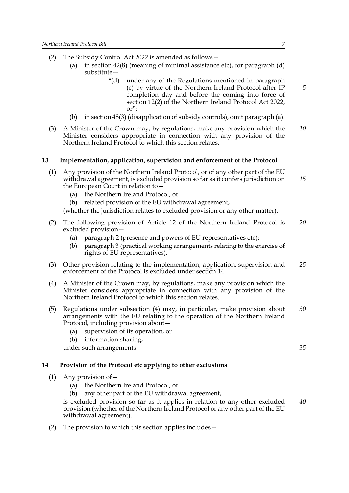- (2) The Subsidy Control Act 2022 is amended as follows—
	- (a) in section  $42(8)$  (meaning of minimal assistance etc), for paragraph (d) substitute—
		- "(d) under any of the Regulations mentioned in paragraph (c) by virtue of the Northern Ireland Protocol after IP completion day and before the coming into force of section 12(2) of the Northern Ireland Protocol Act 2022, or";
	- (b) in section 48(3) (disapplication of subsidy controls), omit paragraph (a).
- (3) A Minister of the Crown may, by regulations, make any provision which the Minister considers appropriate in connection with any provision of the Northern Ireland Protocol to which this section relates. *10*

#### **13 Implementation, application, supervision and enforcement of the Protocol**

- (1) Any provision of the Northern Ireland Protocol, or of any other part of the EU withdrawal agreement, is excluded provision so far as it confers jurisdiction on the European Court in relation to— *15*
	- (a) the Northern Ireland Protocol, or
	- (b) related provision of the EU withdrawal agreement,
	- (whether the jurisdiction relates to excluded provision or any other matter).
- (2) The following provision of Article 12 of the Northern Ireland Protocol is excluded provision— *20*
	- (a) paragraph 2 (presence and powers of EU representatives etc);
	- (b) paragraph 3 (practical working arrangements relating to the exercise of rights of EU representatives).
- (3) Other provision relating to the implementation, application, supervision and enforcement of the Protocol is excluded under section 14. *25*
- (4) A Minister of the Crown may, by regulations, make any provision which the Minister considers appropriate in connection with any provision of the Northern Ireland Protocol to which this section relates.
- (5) Regulations under subsection (4) may, in particular, make provision about arrangements with the EU relating to the operation of the Northern Ireland Protocol, including provision about— *30*
	- (a) supervision of its operation, or
	- (b) information sharing,

under such arrangements.

#### **14 Provision of the Protocol etc applying to other exclusions**

- (1) Any provision of—
	- (a) the Northern Ireland Protocol, or
	- (b) any other part of the EU withdrawal agreement,

is excluded provision so far as it applies in relation to any other excluded provision (whether of the Northern Ireland Protocol or any other part of the EU withdrawal agreement). *40*

(2) The provision to which this section applies includes—

*5*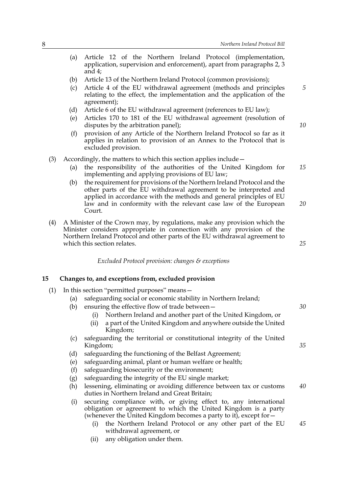- (a) Article 12 of the Northern Ireland Protocol (implementation, application, supervision and enforcement), apart from paragraphs 2, 3 and 4;
- (b) Article 13 of the Northern Ireland Protocol (common provisions);
- (c) Article 4 of the EU withdrawal agreement (methods and principles relating to the effect, the implementation and the application of the agreement);
- (d) Article 6 of the EU withdrawal agreement (references to EU law);
- (e) Articles 170 to 181 of the EU withdrawal agreement (resolution of disputes by the arbitration panel);
- (f) provision of any Article of the Northern Ireland Protocol so far as it applies in relation to provision of an Annex to the Protocol that is excluded provision.
- (3) Accordingly, the matters to which this section applies include—
	- (a) the responsibility of the authorities of the United Kingdom for implementing and applying provisions of EU law; *15*
	- (b) the requirement for provisions of the Northern Ireland Protocol and the other parts of the EU withdrawal agreement to be interpreted and applied in accordance with the methods and general principles of EU law and in conformity with the relevant case law of the European Court. *20*
- (4) A Minister of the Crown may, by regulations, make any provision which the Minister considers appropriate in connection with any provision of the Northern Ireland Protocol and other parts of the EU withdrawal agreement to which this section relates.

*Excluded Protocol provision: changes & exceptions*

## **15 Changes to, and exceptions from, excluded provision**

- (1) In this section "permitted purposes" means—
	- (a) safeguarding social or economic stability in Northern Ireland;
	- (b) ensuring the effective flow of trade between—
		- (i) Northern Ireland and another part of the United Kingdom, or
		- (ii) a part of the United Kingdom and anywhere outside the United Kingdom;
	- (c) safeguarding the territorial or constitutional integrity of the United Kingdom;
	- (d) safeguarding the functioning of the Belfast Agreement;
	- (e) safeguarding animal, plant or human welfare or health;
	- (f) safeguarding biosecurity or the environment;
	- (g) safeguarding the integrity of the EU single market;
	- (h) lessening, eliminating or avoiding difference between tax or customs duties in Northern Ireland and Great Britain; *40*
	- (i) securing compliance with, or giving effect to, any international obligation or agreement to which the United Kingdom is a party (whenever the United Kingdom becomes a party to it), except for—
		- (i) the Northern Ireland Protocol or any other part of the EU withdrawal agreement, or *45*
		- (ii) any obligation under them.

*25*

*5*

*10*

*35*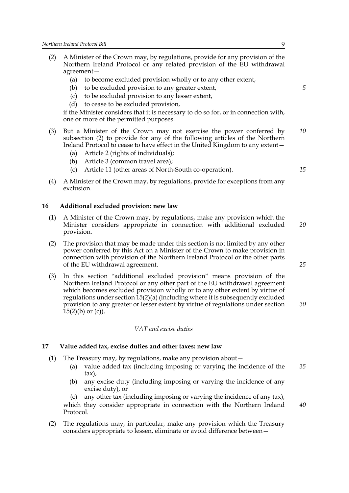- (2) A Minister of the Crown may, by regulations, provide for any provision of the Northern Ireland Protocol or any related provision of the EU withdrawal agreement—
	- (a) to become excluded provision wholly or to any other extent,
	- (b) to be excluded provision to any greater extent,
	- (c) to be excluded provision to any lesser extent,
	- (d) to cease to be excluded provision,

if the Minister considers that it is necessary to do so for, or in connection with, one or more of the permitted purposes.

- (3) But a Minister of the Crown may not exercise the power conferred by subsection (2) to provide for any of the following articles of the Northern Ireland Protocol to cease to have effect in the United Kingdom to any extent— *10*
	- (a) Article 2 (rights of individuals);
	- (b) Article 3 (common travel area);
	- (c) Article 11 (other areas of North-South co-operation).
- (4) A Minister of the Crown may, by regulations, provide for exceptions from any exclusion.

#### **16 Additional excluded provision: new law**

- (1) A Minister of the Crown may, by regulations, make any provision which the Minister considers appropriate in connection with additional excluded provision. *20*
- (2) The provision that may be made under this section is not limited by any other power conferred by this Act on a Minister of the Crown to make provision in connection with provision of the Northern Ireland Protocol or the other parts of the EU withdrawal agreement.
- (3) In this section "additional excluded provision" means provision of the Northern Ireland Protocol or any other part of the EU withdrawal agreement which becomes excluded provision wholly or to any other extent by virtue of regulations under section 15(2)(a) (including where it is subsequently excluded provision to any greater or lesser extent by virtue of regulations under section  $15(2)(b)$  or (c)).

#### *VAT and excise duties*

#### **17 Value added tax, excise duties and other taxes: new law**

- (1) The Treasury may, by regulations, make any provision about—
	- (a) value added tax (including imposing or varying the incidence of the tax), *35*
	- (b) any excise duty (including imposing or varying the incidence of any excise duty), or

(c) any other tax (including imposing or varying the incidence of any tax), which they consider appropriate in connection with the Northern Ireland Protocol.

(2) The regulations may, in particular, make any provision which the Treasury considers appropriate to lessen, eliminate or avoid difference between*5*

*15*

*25*

*30*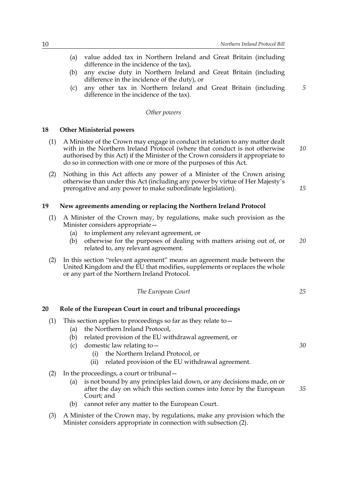- (a) value added tax in Northern Ireland and Great Britain (including difference in the incidence of the tax),
- (b) any excise duty in Northern Ireland and Great Britain (including difference in the incidence of the duty), or
- (c) any other tax in Northern Ireland and Great Britain (including difference in the incidence of the tax).

#### *Other powers*

#### **18 Other Ministerial powers**

- (1) A Minister of the Crown may engage in conduct in relation to any matter dealt with in the Northern Ireland Protocol (where that conduct is not otherwise authorised by this Act) if the Minister of the Crown considers it appropriate to do so in connection with one or more of the purposes of this Act. *10*
- (2) Nothing in this Act affects any power of a Minister of the Crown arising otherwise than under this Act (including any power by virtue of Her Majesty's prerogative and any power to make subordinate legislation).

**19 New agreements amending or replacing the Northern Ireland Protocol**

- (1) A Minister of the Crown may, by regulations, make such provision as the Minister considers appropriate—
	- (a) to implement any relevant agreement, or
	- (b) otherwise for the purposes of dealing with matters arising out of, or related to, any relevant agreement. *20*
- (2) In this section "relevant agreement" means an agreement made between the United Kingdom and the EU that modifies, supplements or replaces the whole or any part of the Northern Ireland Protocol.

*The European Court*

**20 Role of the European Court in court and tribunal proceedings**

- (1) This section applies to proceedings so far as they relate to—
	- (a) the Northern Ireland Protocol,
	- (b) related provision of the EU withdrawal agreement, or
	- (c) domestic law relating to—
		- (i) the Northern Ireland Protocol, or
		- (ii) related provision of the EU withdrawal agreement.
- (2) In the proceedings, a court or tribunal—
	- (a) is not bound by any principles laid down, or any decisions made, on or after the day on which this section comes into force by the European Court; and *35*
	- (b) cannot refer any matter to the European Court.
- (3) A Minister of the Crown may, by regulations, make any provision which the Minister considers appropriate in connection with subsection (2).

*25*

*5*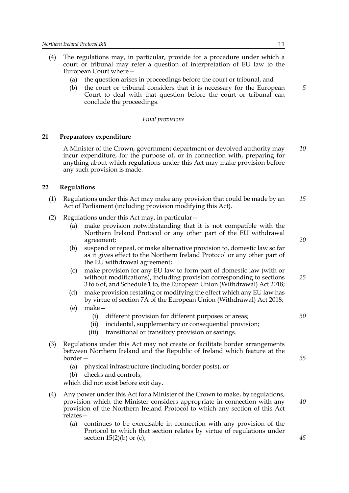- (4) The regulations may, in particular, provide for a procedure under which a court or tribunal may refer a question of interpretation of EU law to the European Court where—
	- (a) the question arises in proceedings before the court or tribunal, and
	- (b) the court or tribunal considers that it is necessary for the European Court to deal with that question before the court or tribunal can conclude the proceedings.

#### *Final provisions*

#### **21 Preparatory expenditure**

A Minister of the Crown, government department or devolved authority may incur expenditure, for the purpose of, or in connection with, preparing for anything about which regulations under this Act may make provision before any such provision is made. *10*

#### **22 Regulations**

- (1) Regulations under this Act may make any provision that could be made by an Act of Parliament (including provision modifying this Act). *15*
- (2) Regulations under this Act may, in particular—
	- (a) make provision notwithstanding that it is not compatible with the Northern Ireland Protocol or any other part of the EU withdrawal agreement;
	- (b) suspend or repeal, or make alternative provision to, domestic law so far as it gives effect to the Northern Ireland Protocol or any other part of the EU withdrawal agreement;
	- (c) make provision for any EU law to form part of domestic law (with or without modifications), including provision corresponding to sections 3 to 6 of, and Schedule 1 to, the European Union (Withdrawal) Act 2018;
	- (d) make provision restating or modifying the effect which any EU law has by virtue of section 7A of the European Union (Withdrawal) Act 2018;
	- (e) make—
		- (i) different provision for different purposes or areas;
		- (ii) incidental, supplementary or consequential provision;
		- (iii) transitional or transitory provision or savings.
- (3) Regulations under this Act may not create or facilitate border arrangements between Northern Ireland and the Republic of Ireland which feature at the border—
	- (a) physical infrastructure (including border posts), or
	- (b) checks and controls,

which did not exist before exit day.

- (4) Any power under this Act for a Minister of the Crown to make, by regulations, provision which the Minister considers appropriate in connection with any provision of the Northern Ireland Protocol to which any section of this Act relates—
	- (a) continues to be exercisable in connection with any provision of the Protocol to which that section relates by virtue of regulations under section  $15(2)(b)$  or (c);

*5*

*40*

*25*

*30*

*35*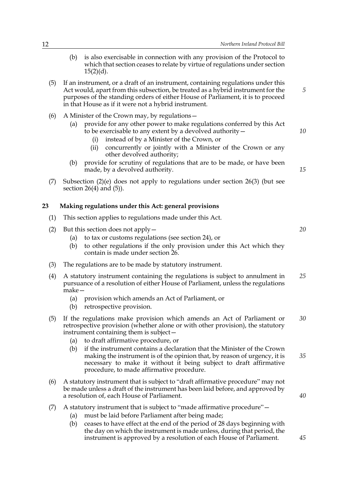| (b) | is also exercisable in connection with any provision of the Protocol to    |
|-----|----------------------------------------------------------------------------|
|     | which that section ceases to relate by virtue of regulations under section |
|     | $15(2)(d)$ .                                                               |

- (5) If an instrument, or a draft of an instrument, containing regulations under this Act would, apart from this subsection, be treated as a hybrid instrument for the purposes of the standing orders of either House of Parliament, it is to proceed in that House as if it were not a hybrid instrument.
- (6) A Minister of the Crown may, by regulations—
	- (a) provide for any other power to make regulations conferred by this Act to be exercisable to any extent by a devolved authority
		- instead of by a Minister of the Crown, or
		- (ii) concurrently or jointly with a Minister of the Crown or any other devolved authority;
	- (b) provide for scrutiny of regulations that are to be made, or have been made, by a devolved authority.
- (7) Subsection (2)(e) does not apply to regulations under section 26(3) (but see section 26(4) and (5)).

#### **23 Making regulations under this Act: general provisions**

- (1) This section applies to regulations made under this Act.
- (2) But this section does not apply—
	- (a) to tax or customs regulations (see section 24), or
	- (b) to other regulations if the only provision under this Act which they contain is made under section 26.
- (3) The regulations are to be made by statutory instrument.
- (4) A statutory instrument containing the regulations is subject to annulment in pursuance of a resolution of either House of Parliament, unless the regulations make— *25*
	- (a) provision which amends an Act of Parliament, or
	- (b) retrospective provision.
- (5) If the regulations make provision which amends an Act of Parliament or retrospective provision (whether alone or with other provision), the statutory instrument containing them is subject— *30*
	- (a) to draft affirmative procedure, or
	- (b) if the instrument contains a declaration that the Minister of the Crown making the instrument is of the opinion that, by reason of urgency, it is necessary to make it without it being subject to draft affirmative procedure, to made affirmative procedure. *35*
- (6) A statutory instrument that is subject to "draft affirmative procedure" may not be made unless a draft of the instrument has been laid before, and approved by a resolution of, each House of Parliament.
- (7) A statutory instrument that is subject to "made affirmative procedure"—
	- (a) must be laid before Parliament after being made;
	- (b) ceases to have effect at the end of the period of 28 days beginning with the day on which the instrument is made unless, during that period, the instrument is approved by a resolution of each House of Parliament.

*20*

*5*

*10*

*15*

*40*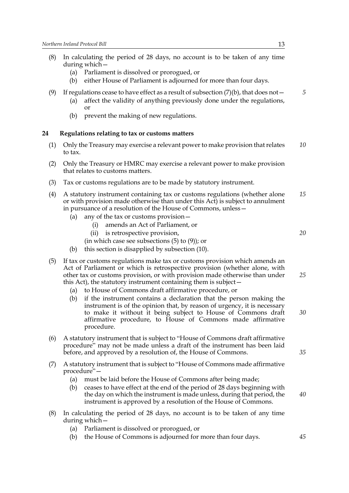- (8) In calculating the period of 28 days, no account is to be taken of any time during which—
	- (a) Parliament is dissolved or prorogued, or
	- (b) either House of Parliament is adjourned for more than four days.
- (9) If regulations cease to have effect as a result of subsection  $(7)(b)$ , that does not -
	- (a) affect the validity of anything previously done under the regulations, or
	- (b) prevent the making of new regulations.

#### **24 Regulations relating to tax or customs matters**

- (1) Only the Treasury may exercise a relevant power to make provision that relates to tax. *10*
- (2) Only the Treasury or HMRC may exercise a relevant power to make provision that relates to customs matters.
- (3) Tax or customs regulations are to be made by statutory instrument.
- (4) A statutory instrument containing tax or customs regulations (whether alone or with provision made otherwise than under this Act) is subject to annulment in pursuance of a resolution of the House of Commons, unless— *15*
	- (a) any of the tax or customs provision—
		- (i) amends an Act of Parliament, or
		- (ii) is retrospective provision,
		- (in which case see subsections (5) to (9)); or
	- (b) this section is disapplied by subsection (10).
- (5) If tax or customs regulations make tax or customs provision which amends an Act of Parliament or which is retrospective provision (whether alone, with other tax or customs provision, or with provision made otherwise than under this Act), the statutory instrument containing them is subject—
	- (a) to House of Commons draft affirmative procedure, or
	- (b) if the instrument contains a declaration that the person making the instrument is of the opinion that, by reason of urgency, it is necessary to make it without it being subject to House of Commons draft affirmative procedure, to House of Commons made affirmative procedure. *30*
- (6) A statutory instrument that is subject to "House of Commons draft affirmative procedure" may not be made unless a draft of the instrument has been laid before, and approved by a resolution of, the House of Commons.
- (7) A statutory instrument that is subject to "House of Commons made affirmative procedure"—
	- (a) must be laid before the House of Commons after being made;
	- (b) ceases to have effect at the end of the period of 28 days beginning with the day on which the instrument is made unless, during that period, the instrument is approved by a resolution of the House of Commons. *40*
- (8) In calculating the period of 28 days, no account is to be taken of any time during which—
	- (a) Parliament is dissolved or prorogued, or
	- (b) the House of Commons is adjourned for more than four days.

*5*

*35*

*25*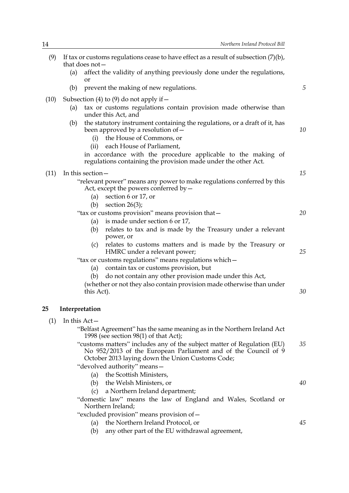| (9)  | If tax or customs regulations cease to have effect as a result of subsection $(7)(b)$ ,<br>that does not $-$      |                                                                                                                                                                                               |    |  |
|------|-------------------------------------------------------------------------------------------------------------------|-----------------------------------------------------------------------------------------------------------------------------------------------------------------------------------------------|----|--|
|      | (a)<br>or                                                                                                         | affect the validity of anything previously done under the regulations,                                                                                                                        |    |  |
|      | (b)                                                                                                               | prevent the making of new regulations.                                                                                                                                                        | 5  |  |
| (10) | (a)                                                                                                               | Subsection (4) to (9) do not apply if $-$<br>tax or customs regulations contain provision made otherwise than<br>under this Act, and                                                          |    |  |
|      | (b)<br>(i)                                                                                                        | the statutory instrument containing the regulations, or a draft of it, has<br>been approved by a resolution of -<br>the House of Commons, or                                                  | 10 |  |
|      | (ii)                                                                                                              | each House of Parliament,                                                                                                                                                                     |    |  |
|      |                                                                                                                   | in accordance with the procedure applicable to the making of<br>regulations containing the provision made under the other Act.                                                                |    |  |
| (11) | In this section-                                                                                                  |                                                                                                                                                                                               | 15 |  |
|      | "relevant power" means any power to make regulations conferred by this<br>Act, except the powers conferred by $-$ |                                                                                                                                                                                               |    |  |
|      | (a)<br>(b)                                                                                                        | section 6 or 17, or                                                                                                                                                                           |    |  |
|      |                                                                                                                   | section $26(3)$ ;<br>"tax or customs provision" means provision that-                                                                                                                         | 20 |  |
|      | (a)                                                                                                               | is made under section 6 or 17,                                                                                                                                                                |    |  |
|      | (b)                                                                                                               | relates to tax and is made by the Treasury under a relevant<br>power, or                                                                                                                      |    |  |
|      | (c)                                                                                                               | relates to customs matters and is made by the Treasury or<br>HMRC under a relevant power;                                                                                                     | 25 |  |
|      | "tax or customs regulations" means regulations which-                                                             |                                                                                                                                                                                               |    |  |
|      | (a)                                                                                                               | contain tax or customs provision, but                                                                                                                                                         |    |  |
|      | do not contain any other provision made under this Act,<br>(b)                                                    |                                                                                                                                                                                               |    |  |
|      | (whether or not they also contain provision made otherwise than under<br>this Act).                               |                                                                                                                                                                                               |    |  |
| 25   | Interpretation                                                                                                    |                                                                                                                                                                                               |    |  |
| (1)  | In this Act-                                                                                                      |                                                                                                                                                                                               |    |  |
|      |                                                                                                                   | "Belfast Agreement" has the same meaning as in the Northern Ireland Act<br>1998 (see section $98(1)$ of that Act);                                                                            |    |  |
|      |                                                                                                                   | "customs matters" includes any of the subject matter of Regulation (EU)<br>No 952/2013 of the European Parliament and of the Council of 9<br>October 2013 laying down the Union Customs Code; | 35 |  |
|      |                                                                                                                   | "devolved authority" means-                                                                                                                                                                   |    |  |
|      | (a)                                                                                                               | the Scottish Ministers,                                                                                                                                                                       |    |  |
|      |                                                                                                                   | (b) the Welsh Ministers, or                                                                                                                                                                   | 40 |  |
|      | (c)                                                                                                               | a Northern Ireland department;<br>"domestic law" means the law of England and Wales, Scotland or                                                                                              |    |  |
|      | Northern Ireland;                                                                                                 |                                                                                                                                                                                               |    |  |
|      |                                                                                                                   | "excluded provision" means provision of -                                                                                                                                                     |    |  |
|      | (a)<br>(b)                                                                                                        | the Northern Ireland Protocol, or<br>any other part of the EU withdrawal agreement,                                                                                                           | 45 |  |
|      |                                                                                                                   |                                                                                                                                                                                               |    |  |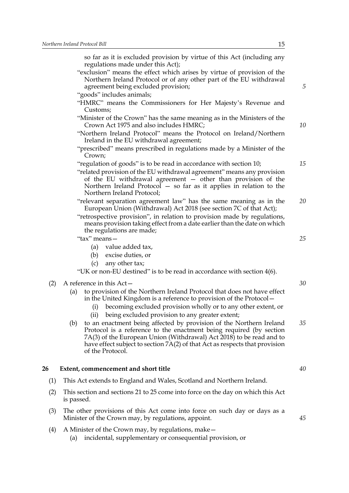so far as it is excluded provision by virtue of this Act (including any regulations made under this Act);

- "exclusion" means the effect which arises by virtue of provision of the Northern Ireland Protocol or of any other part of the EU withdrawal agreement being excluded provision;
- "goods" includes animals;
- "HMRC" means the Commissioners for Her Majesty's Revenue and Customs;
- "Minister of the Crown" has the same meaning as in the Ministers of the Crown Act 1975 and also includes HMRC;
- "Northern Ireland Protocol" means the Protocol on Ireland/Northern Ireland in the EU withdrawal agreement;
- "prescribed" means prescribed in regulations made by a Minister of the Crown;
- "regulation of goods" is to be read in accordance with section 10;
- "related provision of the EU withdrawal agreement" means any provision of the EU withdrawal agreement — other than provision of the Northern Ireland Protocol — so far as it applies in relation to the Northern Ireland Protocol;
- "relevant separation agreement law" has the same meaning as in the European Union (Withdrawal) Act 2018 (see section 7C of that Act); *20*
- "retrospective provision", in relation to provision made by regulations, means provision taking effect from a date earlier than the date on which the regulations are made;
- "tax" means—
	- (a) value added tax,
	- (b) excise duties, or
	- (c) any other tax;

"UK or non-EU destined" is to be read in accordance with section 4(6).

- (2) A reference in this Act—
	- (a) to provision of the Northern Ireland Protocol that does not have effect in the United Kingdom is a reference to provision of the Protocol—
		- (i) becoming excluded provision wholly or to any other extent, or
		- (ii) being excluded provision to any greater extent;
	- (b) to an enactment being affected by provision of the Northern Ireland Protocol is a reference to the enactment being required (by section 7A(3) of the European Union (Withdrawal) Act 2018) to be read and to have effect subject to section 7A(2) of that Act as respects that provision of the Protocol. *35*

## **26 Extent, commencement and short title**

- (1) This Act extends to England and Wales, Scotland and Northern Ireland.
- (2) This section and sections 21 to 25 come into force on the day on which this Act is passed.
- (3) The other provisions of this Act come into force on such day or days as a Minister of the Crown may, by regulations, appoint.
- (4) A Minister of the Crown may, by regulations, make—
	- (a) incidental, supplementary or consequential provision, or

*5*

*10*

*15*

*25*

*30*

*40*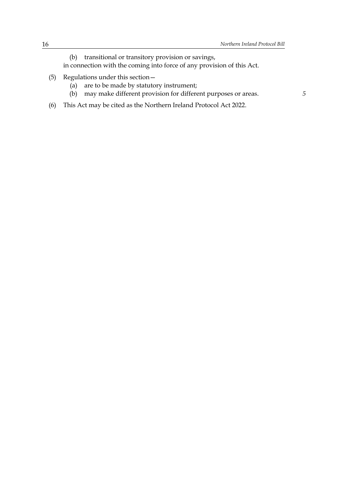- (b) transitional or transitory provision or savings, in connection with the coming into force of any provision of this Act.
- (5) Regulations under this section—
	- (a) are to be made by statutory instrument;
	- (b) may make different provision for different purposes or areas.
- (6) This Act may be cited as the Northern Ireland Protocol Act 2022.